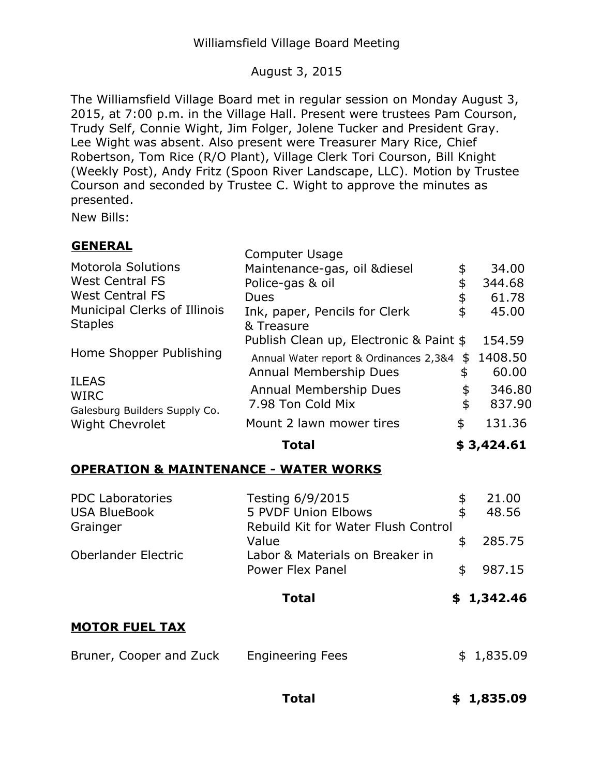## August 3, 2015

The Williamsfield Village Board met in regular session on Monday August 3, 2015, at 7:00 p.m. in the Village Hall. Present were trustees Pam Courson, Trudy Self, Connie Wight, Jim Folger, Jolene Tucker and President Gray. Lee Wight was absent. Also present were Treasurer Mary Rice, Chief Robertson, Tom Rice (R/O Plant), Village Clerk Tori Courson, Bill Knight (Weekly Post), Andy Fritz (Spoon River Landscape, LLC). Motion by Trustee Courson and seconded by Trustee C. Wight to approve the minutes as presented.

New Bills:

| N<br>∍<br>-<br>—<br>1 C I<br>c. |
|---------------------------------|
|---------------------------------|

|                                                  | Total                                                                   |          | \$3,424.61       |
|--------------------------------------------------|-------------------------------------------------------------------------|----------|------------------|
| <b>Wight Chevrolet</b>                           | Mount 2 lawn mower tires                                                | \$       | 131.36           |
| <b>WIRC</b><br>Galesburg Builders Supply Co.     | <b>Annual Membership Dues</b><br>7.98 Ton Cold Mix                      | \$<br>\$ | 346.80<br>837.90 |
| Home Shopper Publishing<br><b>ILEAS</b>          | Annual Water report & Ordinances 2,3&4<br><b>Annual Membership Dues</b> | S<br>\$  | 1408.50<br>60.00 |
|                                                  | & Treasure<br>Publish Clean up, Electronic & Paint \$                   |          | 154.59           |
| Municipal Clerks of Illinois<br><b>Staples</b>   | Ink, paper, Pencils for Clerk                                           | \$<br>\$ | 45.00            |
| <b>West Central FS</b><br><b>West Central FS</b> | Police-gas & oil<br>Dues                                                | \$       | 344.68<br>61.78  |
| <b>Motorola Solutions</b>                        | <b>Computer Usage</b><br>Maintenance-gas, oil &diesel                   |          | 34.00            |

## **OPERATION & MAINTENANCE - WATER WORKS**

| <b>PDC Laboratories</b> | Testing 6/9/2015                                    | \$<br>21.00  |
|-------------------------|-----------------------------------------------------|--------------|
| <b>USA BlueBook</b>     | 5 PVDF Union Elbows                                 | \$<br>48.56  |
| Grainger                | Rebuild Kit for Water Flush Control<br>Value        | \$<br>285.75 |
| Oberlander Electric     | Labor & Materials on Breaker in<br>Power Flex Panel | \$<br>987.15 |
|                         |                                                     |              |
|                         | <b>Total</b>                                        | \$1,342.46   |
| <b>MOTOR FUEL TAX</b>   |                                                     |              |

**Total \$ [1,835.09](https://1,835.09)**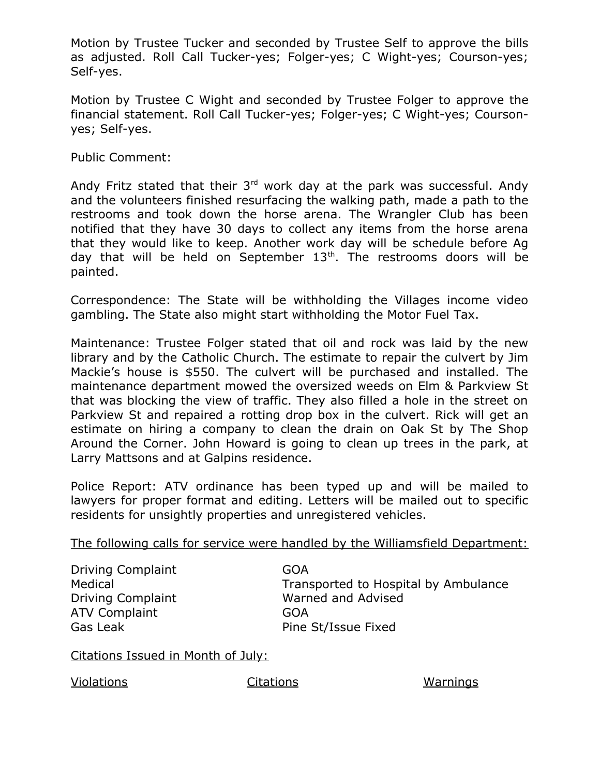Motion by Trustee Tucker and seconded by Trustee Self to approve the bills as adjusted. Roll Call Tucker-yes; Folger-yes; C Wight-yes; Courson-yes; Self-yes.

 Motion by Trustee C Wight and seconded by Trustee Folger to approve the financial statement. Roll Call Tucker-yes; Folger-yes; C Wight-yes; Coursonyes; Self-yes.

Public Comment:

Andy Fritz stated that their  $3<sup>rd</sup>$  work day at the park was successful. Andy and the volunteers finished resurfacing the walking path, made a path to the restrooms and took down the horse arena. The Wrangler Club has been notified that they have 30 days to collect any items from the horse arena that they would like to keep. Another work day will be schedule before Ag day that will be held on September  $13<sup>th</sup>$ . The restrooms doors will be painted.

 Correspondence: The State will be withholding the Villages income video gambling. The State also might start withholding the Motor Fuel Tax.

 Maintenance: Trustee Folger stated that oil and rock was laid by the new library and by the Catholic Church. The estimate to repair the culvert by Jim Mackie's house is \$550. The culvert will be purchased and installed. The maintenance department mowed the oversized weeds on Elm & Parkview St that was blocking the view of traffic. They also filled a hole in the street on Parkview St and repaired a rotting drop box in the culvert. Rick will get an estimate on hiring a company to clean the drain on Oak St by The Shop Around the Corner. John Howard is going to clean up trees in the park, at Larry Mattsons and at Galpins residence.

 Police Report: ATV ordinance has been typed up and will be mailed to lawyers for proper format and editing. Letters will be mailed out to specific residents for unsightly properties and unregistered vehicles.

The following calls for service were handled by the Williamsfield Department:

Driving Complaint Medical Driving Complaint ATV Complaint Gas Leak

 Transported to Hospital by Ambulance Warned and Advised Pine St/Issue Fixed GOA GOA

Citations Issued in Month of July:

Violations Citations Warnings